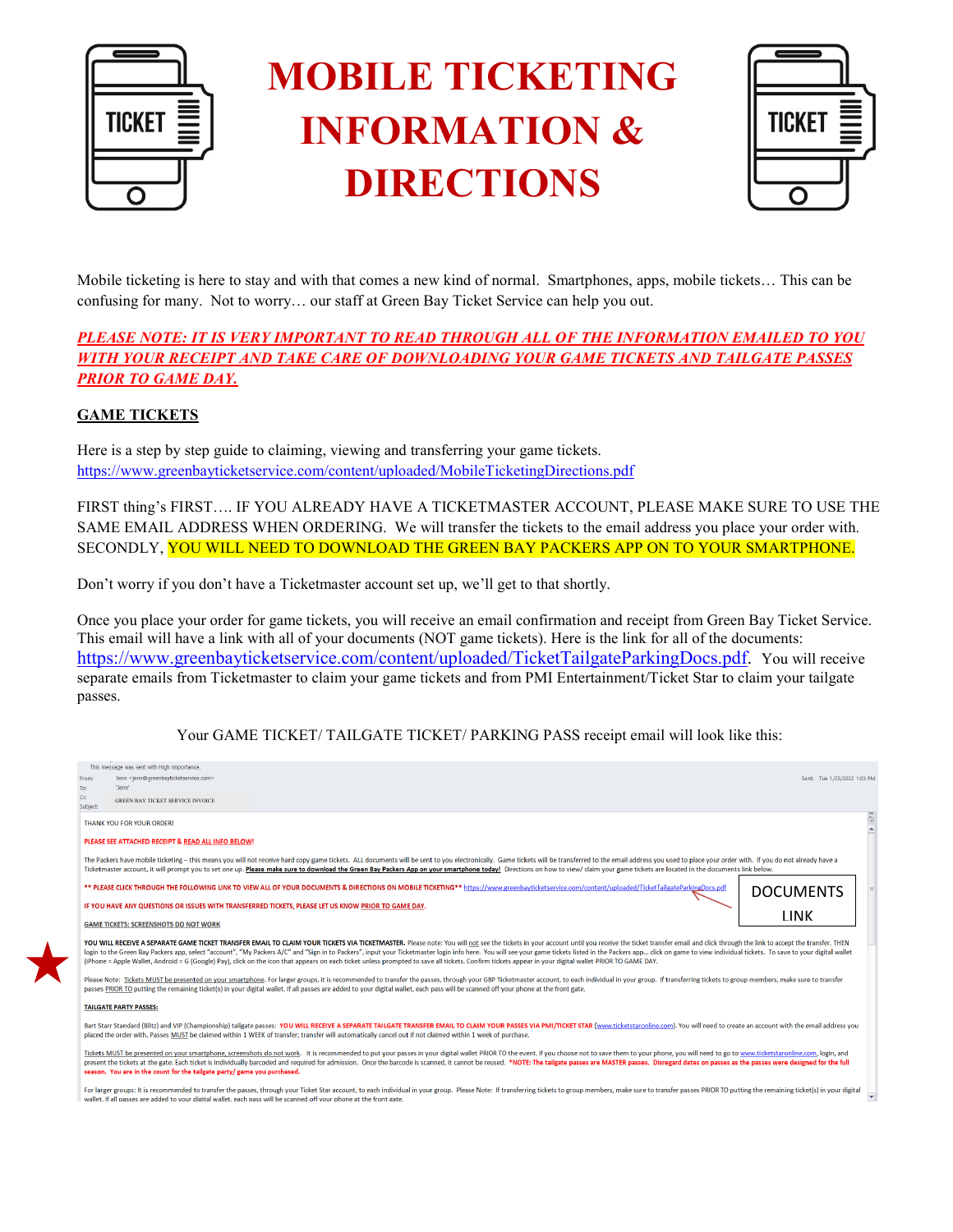

# **MOBILE TICKETING INFORMATION & DIRECTIONS**



Mobile ticketing is here to stay and with that comes a new kind of normal. Smartphones, apps, mobile tickets… This can be confusing for many. Not to worry… our staff at Green Bay Ticket Service can help you out.

# *PLEASE NOTE: IT IS VERY IMPORTANT TO READ THROUGH ALL OF THE INFORMATION EMAILED TO YOU WITH YOUR RECEIPT AND TAKE CARE OF DOWNLOADING YOUR GAME TICKETS AND TAILGATE PASSES PRIOR TO GAME DAY.*

## **GAME TICKETS**

Here is a step by step guide to claiming, viewing and transferring your game tickets. <https://www.greenbayticketservice.com/content/uploaded/MobileTicketingDirections.pdf>

FIRST thing's FIRST…. IF YOU ALREADY HAVE A TICKETMASTER ACCOUNT, PLEASE MAKE SURE TO USE THE SAME EMAIL ADDRESS WHEN ORDERING. We will transfer the tickets to the email address you place your order with. SECONDLY, YOU WILL NEED TO DOWNLOAD THE GREEN BAY PACKERS APP ON TO YOUR SMARTPHONE.

Don't worry if you don't have a Ticketmaster account set up, we'll get to that shortly.

Once you place your order for game tickets, you will receive an email confirmation and receipt from Green Bay Ticket Service. This email will have a link with all of your documents (NOT game tickets). Here is the link for all of the documents: [https://www.greenbayticketservice.com/content/uploaded/TicketTailgateParkingDocs.pdf.](https://www.greenbayticketservice.com/content/uploaded/TicketTailgateParkingDocs.pdf) You will receive separate emails from Ticketmaster to claim your game tickets and from PMI Entertainment/Ticket Star to claim your tailgate passes.

Your GAME TICKET/ TAILGATE TICKET/ PARKING PASS receipt email will look like this:

| This message was sent with High importance.<br>Jenn <jenn@greenbavticketservice.com><br/>From:</jenn@greenbavticketservice.com>                                                                                                                                                                                                                                                                                                                                                                                                                                                                                                                                         | Sent: Tue 1/25/2022 1:03 PM |
|-------------------------------------------------------------------------------------------------------------------------------------------------------------------------------------------------------------------------------------------------------------------------------------------------------------------------------------------------------------------------------------------------------------------------------------------------------------------------------------------------------------------------------------------------------------------------------------------------------------------------------------------------------------------------|-----------------------------|
| "lenn"<br>To:<br>cc<br><b>GREEN BAY TICKET SERVICE INVOICE</b><br>Subject:                                                                                                                                                                                                                                                                                                                                                                                                                                                                                                                                                                                              |                             |
| THANK YOU FOR YOUR ORDER!                                                                                                                                                                                                                                                                                                                                                                                                                                                                                                                                                                                                                                               | 医主                          |
| PLEASE SEE ATTACHED RECEIPT & READ ALL INFO BELOW!                                                                                                                                                                                                                                                                                                                                                                                                                                                                                                                                                                                                                      |                             |
| The Packers have mobile ticketing - this means you will not receive hard copy game tickets. ALL documents will be sent to you electronically. Game tickets will be transferred to the email address you used to place your ord<br>Ticketmaster account, it will prompt you to set one up. Please make sure to download the Green Bay Packers App on your smartphone today! Directions on how to view/ claim your game tickets are located in the documents link                                                                                                                                                                                                         |                             |
| ** PLEASE CLICK THROUGH THE FOLLOWING LINK TO VIEW ALL OF YOUR DOCUMENTS & DIRECTIONS ON MOBILE TICKETING** https://www.greenbayticketservice.com/content/uploaded/TicketTailgateParkingDocs.pdf                                                                                                                                                                                                                                                                                                                                                                                                                                                                        | <b>DOCUMENTS</b>            |
| IF YOU HAVE ANY QUESTIONS OR ISSUES WITH TRANSFERRED TICKETS, PLEASE LET US KNOW PRIOR TO GAME DAY.                                                                                                                                                                                                                                                                                                                                                                                                                                                                                                                                                                     |                             |
| <b>GAME TICKETS: SCREENSHOTS DO NOT WORK</b>                                                                                                                                                                                                                                                                                                                                                                                                                                                                                                                                                                                                                            | <b>TINK</b>                 |
| YOU WILL RECEIVE A SEPARATE GAME TICKET TRANSFER EMAIL TO CLAIM YOUR TICKETS VIA TICKETMASTER. Please note: You will not see the tickets in your account until you receive the ticket transfer email and click through the lin<br>login to the Green Bay Packers app, select "account", "My Packers A/C" and "Sign in to Packers", input your Ticketmaster login info here. You will see your game tickets listed in the Packers app click on game to view in<br>(iPhone = Apple Wallet, Android = G (Google) Pay), click on the icon that appears on each ticket unless prompted to save all tickets. Confirm tickets appear in your digital wallet PRIOR TO GAME DAY, |                             |
| Please Note: Tickets MUST be presented on your smartphone. For larger groups, it is recommended to transfer the passes, through your GBP Ticketmaster account, to each individual in your group. If transferring tickets to gr<br>passes PRIOR TO putting the remaining ticket(s) in your digital wallet. If all passes are added to your digital wallet, each pass will be scanned off your phone at the front gate.                                                                                                                                                                                                                                                   |                             |
| <b>TAILGATE PARTY PASSES:</b>                                                                                                                                                                                                                                                                                                                                                                                                                                                                                                                                                                                                                                           |                             |
| Bart Starr Standard (Blitz) and VIP (Championship) tailgate passes: YOU WILL RECEIVE A SEPARATE TAILGATE TRANSFER EMAIL TO CLAIM YOUR PASSES VIA PMI/TICKET STAR (www.ticketstaronline.com). You will need to create an accoun<br>placed the order with. Passes MUST be claimed within 1 WEEK of transfer; transfer will automatically cancel out if not claimed within 1 week of purchase.                                                                                                                                                                                                                                                                             |                             |
| Tickets MUST be presented on your smartphone, screenshots do not work. It is recommended to put your passes in your digital wallet PRIOR TO the event. If you choose not to save them to your phone, you will need to go to ww<br>present the tickets at the gate. Each ticket is individually barcoded and required for admission. Once the barcode is scanned, it cannot be reused. *NOTE: The tailgate passes are MASTER passes. Disregard dates on passes as<br>season. You are in the count for the tailgate party/ game you purchased.                                                                                                                            |                             |
| For larger groups: It is recommended to transfer the passes, through your Ticket Star account, to each individual in your group. Please Note: If transferring tickets to group members, make sure to transfer passes PRIOR TO<br>wallet. If all passes are added to your digital wallet, each pass will be scanned off your phone at the front gate.                                                                                                                                                                                                                                                                                                                    |                             |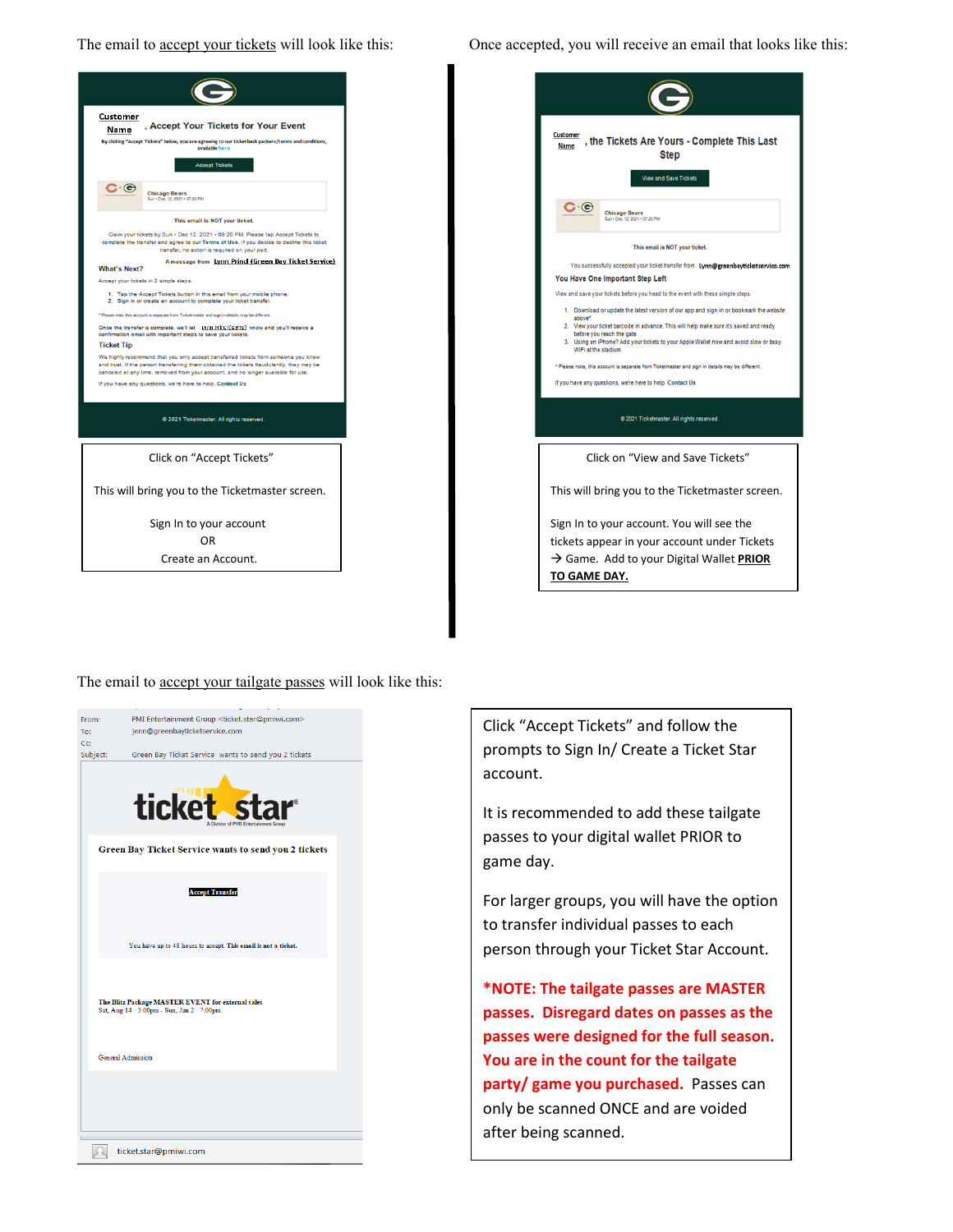The email to **accept your tickets** will look like this:



| Once accepted, you will receive an email that looks like this: |  |  |  |
|----------------------------------------------------------------|--|--|--|

| Customer<br>, the Tickets Are Yours - Complete This Last<br>Name<br><b>Step</b> |                                                                                                                     |  |  |  |  |
|---------------------------------------------------------------------------------|---------------------------------------------------------------------------------------------------------------------|--|--|--|--|
|                                                                                 | <b>View and Save Tickets</b>                                                                                        |  |  |  |  |
| င ဇ                                                                             | <b>Chicago Bears</b><br>Sun . Dec 12, 2021 . 07:20 PM                                                               |  |  |  |  |
|                                                                                 | This email is NOT your ticket.                                                                                      |  |  |  |  |
|                                                                                 | You successfully accepted your ticket transfer from Lynn@greenbayticketservice.com                                  |  |  |  |  |
|                                                                                 | You Have One Important Step Left                                                                                    |  |  |  |  |
|                                                                                 | View and save your tickets before you head to the event with these simple steps.                                    |  |  |  |  |
| above*.                                                                         | 1. Download or update the latest version of our app and sign in or bookmark the website                             |  |  |  |  |
|                                                                                 | 2. View your ticket barcode in advance. This will help make sure it's saved and ready<br>before you reach the gate. |  |  |  |  |
|                                                                                 | 3. Using an iPhone? Add your tickets to your Apple Wallet now and avoid slow or busy                                |  |  |  |  |
| WiFi at the stadium.                                                            |                                                                                                                     |  |  |  |  |
|                                                                                 | * Please note, this account is separate from Ticketmaster and sign in details may be different.                     |  |  |  |  |
|                                                                                 | If you have any questions, we're here to help. Contact Us                                                           |  |  |  |  |
|                                                                                 | @ 2021 Ticketmaster. All rights reserved.                                                                           |  |  |  |  |
|                                                                                 | Click on "View and Save Tickets"                                                                                    |  |  |  |  |
|                                                                                 | This will bring you to the Ticketmaster screen.                                                                     |  |  |  |  |
|                                                                                 | Sign In to your account. You will see the                                                                           |  |  |  |  |
|                                                                                 | tickets appear in your account under Tickets                                                                        |  |  |  |  |
|                                                                                 |                                                                                                                     |  |  |  |  |
|                                                                                 |                                                                                                                     |  |  |  |  |
| TO GAME DAY.                                                                    | $\rightarrow$ Game. Add to your Digital Wallet PRIOR                                                                |  |  |  |  |

The email to **accept your tailgate passes** will look like this:



Click "Accept Tickets" and follow the prompts to Sign In/ Create a Ticket Star account.

It is recommended to add these tailgate passes to your digital wallet PRIOR to game day.

For larger groups, you will have the option to transfer individual passes to each person through your Ticket Star Account.

**\*NOTE: The tailgate passes are MASTER passes. Disregard dates on passes as the passes were designed for the full season. You are in the count for the tailgate party/ game you purchased.** Passes can only be scanned ONCE and are voided after being scanned.